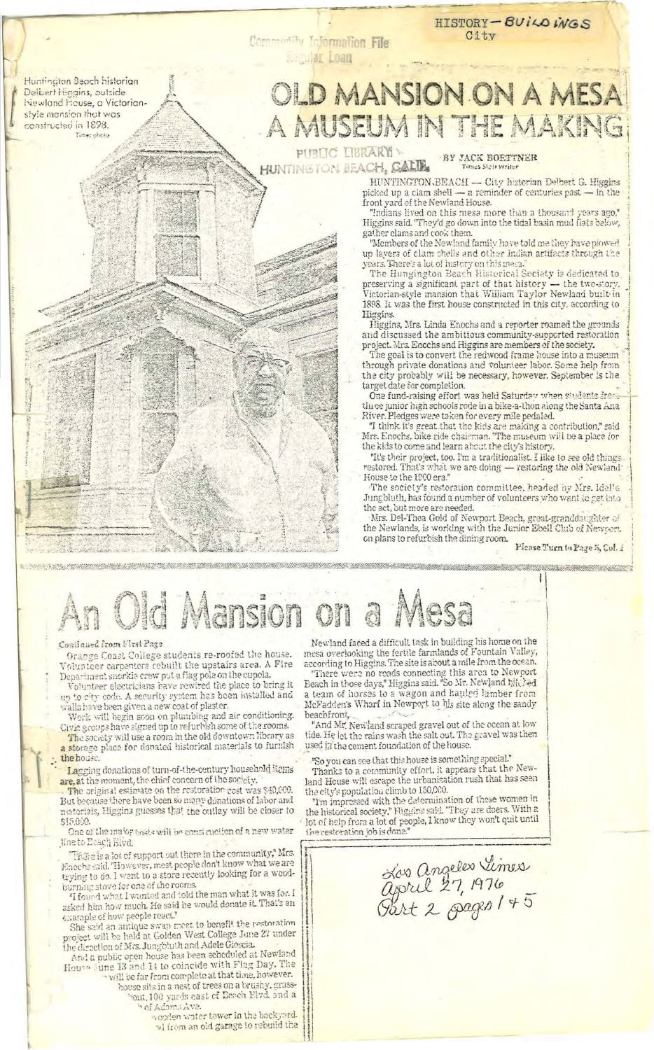Huntington Beach historian Delbert Higgins, outside Newland House, a Victorianstyle mansion that was constructed in 1898.

## **JLD MANSION ON A MESA** A MUSEUM IN THE MAKING

PUBLIC LIBRARY HUNTINGTON BEACH, CALIB

Community Information File **Loan** 

BY JACK BOETTNER

HISTORY-BUILDINGS

City

HUNTINGTON.BEACH - City historian Delbert G. Higgins bicked up a clam shell — a reminder of centuries past — in the front yard of the Newland House.

"Indians lived on this mesa more than a thousand years ago."<br>Higgins said. "They'd go down into the tidal basin mud flats below, gather clams and cook them.

"Members of the Newland family have told me they have plowed up layers of clam shells and other Indian artifacts through the years. There's a lot of history on this mera."

preserving a significant part of that history — the two-story.<br>Victorian-style mansion that William Taylor Newland built in 1898. It was the first house constructed in this city, according to Higgins.

Higgins, Mrs. Linda Enochs and a reporter roamed the grounds and discussed the ambitious community-supported restoration project. Mrs. Enochs and Higgins are members of the society.

The goal is to convert the redwood frame house into a museum through private donations and volunteer labor. Some help from the city probably will be necessary, however. September is the target date for completion.

One fund-raising effort was held Saturday when students from three junior high schools rode in a bike-a-thon along the Santa Ana. River. Pledges were taken for every mile pedaled.

"I think it's great that the kids are making a contribution," said Mrs. Enochs, bike ride chairman. "The museum will be a place for the kids to come and learn about the city's history.

"It's their project, too. I'm a traditionalist. I like to see old things. restored. That's what we are doing — restoring the old Newland: House to the 1900 era."

The society's restoration committee, headed by Mrs. Idel's Jungbluth, has found a number of volunteers who want to get into the act, but more are needed.

Mrs. Del-Thea Gold of Newport Beach, great-granddaughter of the Newlands, is working with the Junior Ebell Club of Newcort. on plans to refurbish the dining room.

Please Turn to Page 5, Col. 1

ł

Did Mansion

## Continued from Nirst Page

Orange Coast College students re-roofed the house. Volunteer carpenters rebuilt the upstairs area. A Fire Department snorkie crew put a flag pole on the cupola.<br>Volunteer electricians have rewired the place to bring it

up to city code. A security system has been installed and walls have been given a new coat of plaster.

Work will begin soon on plumbing and air conditioning.<br>Civic groups have signed up to refurbish some of the rooms.

The society will use a room in the old downtown library as<br>a storage place for donated historical materials to furnish the house.

Lagging donations of turn-of-the-century household items are, at the moment, the chief concern of the society.

The original estimate on the restoration cost was \$40,000. But because there have been so many donations of labor and materials, Higgins guesses that the outlay will be closer to \$15.000.

One of the major tosts will be considertion of a new water line to Ecach Bivd.

There is a lot of support out there in the community," Mrs. Enochs said. "However, most people don't know what we are trying to do. I went to a store recently looking for a wood-

burning stove for one of the rooms.<br>"I found what I wanted and told the man what it was for. I asked him how much. He said he would donate it. That's an example of how people react."

She said an antique swap meet to benefit the restoration<br>project will be held at Golden West College June 27 under the direction of Mrs. Jungbluth and Adele Gioscia.<br>And a public open house has been scheduled at Newland

House sune 13 and 14 to coincide with Flag Day. The will be far from complete at that time, however.

house sits in a nest of trees on a brushy, grassbout, 100 yards east of Eerch Elvd. and a of Adams Ave.

woorlen water tower in the backgord. of from an old garage to rebuild the

Newland faced a difficult task in building his home on the mesa overlooking the fertile farmlands of Fountain Valley, according to Higgins. The site is about a mile from the ocean.

"There were no roads connecting this area to Newport<br>Beach in those days," Higgins said. "So Mr. Newland hitched a team of horses to a wagon and hauled lämber from McFadden's Wharf in Newport to his site along the sandy beachfront,

"And Mr. Newland scraped gravel out of the ocean at low tide. He let the rains wash the salt out. The gravel was then used in the cement foundation of the house.

"So you can see that this house is something special."

Thanks to a community effort, it appears that the Newland House will escape the urbanization rush that has seen<br>the city's population climb to 150,000.

"I'm impressed with the determination of these women in the historical society," Higgins said. "They are doers. With a lot of help from a lot of people, I know they won't quit until